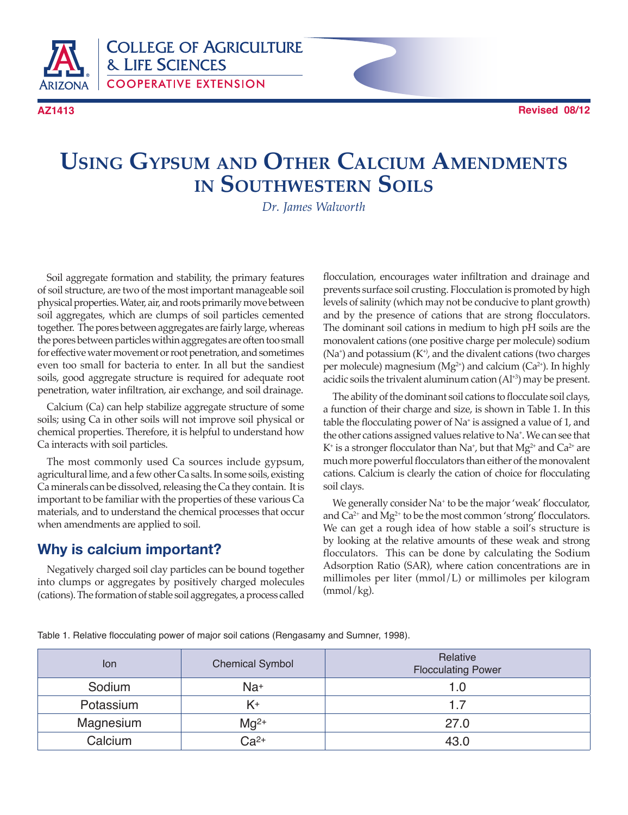

**AZ1413 Revised 08/12**

# **Using Gypsum and Other Calcium Amendments in Southwestern Soils**

*Dr. James Walworth*

Soil aggregate formation and stability, the primary features of soil structure, are two of the most important manageable soil physical properties. Water, air, and roots primarily move between soil aggregates, which are clumps of soil particles cemented together. The pores between aggregates are fairly large, whereas the pores between particles within aggregates are often too small for effective water movement or root penetration, and sometimes even too small for bacteria to enter. In all but the sandiest soils, good aggregate structure is required for adequate root penetration, water infiltration, air exchange, and soil drainage.

Calcium (Ca) can help stabilize aggregate structure of some soils; using Ca in other soils will not improve soil physical or chemical properties. Therefore, it is helpful to understand how Ca interacts with soil particles.

The most commonly used Ca sources include gypsum, agricultural lime, and a few other Ca salts. In some soils, existing Ca minerals can be dissolved, releasing the Ca they contain. It is important to be familiar with the properties of these various Ca materials, and to understand the chemical processes that occur when amendments are applied to soil.

## **Why is calcium important?**

Negatively charged soil clay particles can be bound together into clumps or aggregates by positively charged molecules (cations). The formation of stable soil aggregates, a process called

flocculation, encourages water infiltration and drainage and prevents surface soil crusting. Flocculation is promoted by high levels of salinity (which may not be conducive to plant growth) and by the presence of cations that are strong flocculators. The dominant soil cations in medium to high pH soils are the monovalent cations (one positive charge per molecule) sodium  $(Na<sup>+</sup>)$  and potassium  $(K<sup>+</sup>)$ , and the divalent cations (two charges per molecule) magnesium ( $Mg^{2+}$ ) and calcium ( $Ca^{2+}$ ). In highly acidic soils the trivalent aluminum cation  $(A<sup>1+3</sup>)$  may be present.

The ability of the dominant soil cations to flocculate soil clays, a function of their charge and size, is shown in Table 1. In this table the flocculating power of Na<sup>+</sup> is assigned a value of 1, and the other cations assigned values relative to Na<sup>+</sup> . We can see that K<sup>+</sup> is a stronger flocculator than Na<sup>+</sup>, but that Mg<sup>2+</sup> and Ca<sup>2+</sup> are much more powerful flocculators than either of the monovalent cations. Calcium is clearly the cation of choice for flocculating soil clays.

We generally consider Na<sup>+</sup> to be the major 'weak' flocculator, and  $Ca^{2+}$  and  $Mg^{2+}$  to be the most common 'strong' flocculators. We can get a rough idea of how stable a soil's structure is by looking at the relative amounts of these weak and strong flocculators. This can be done by calculating the Sodium Adsorption Ratio (SAR), where cation concentrations are in millimoles per liter (mmol/L) or millimoles per kilogram (mmol/kg).

Table 1. Relative flocculating power of major soil cations (Rengasamy and Sumner, 1998).

| lon       | <b>Chemical Symbol</b> | Relative<br><b>Flocculating Power</b> |  |  |
|-----------|------------------------|---------------------------------------|--|--|
| Sodium    | Na <sup>+</sup>        | 1.0                                   |  |  |
| Potassium |                        | 1.7                                   |  |  |
| Magnesium | $Mq^{2+}$              | 27.0                                  |  |  |
| Calcium   | $Ca2+$                 | 43.0                                  |  |  |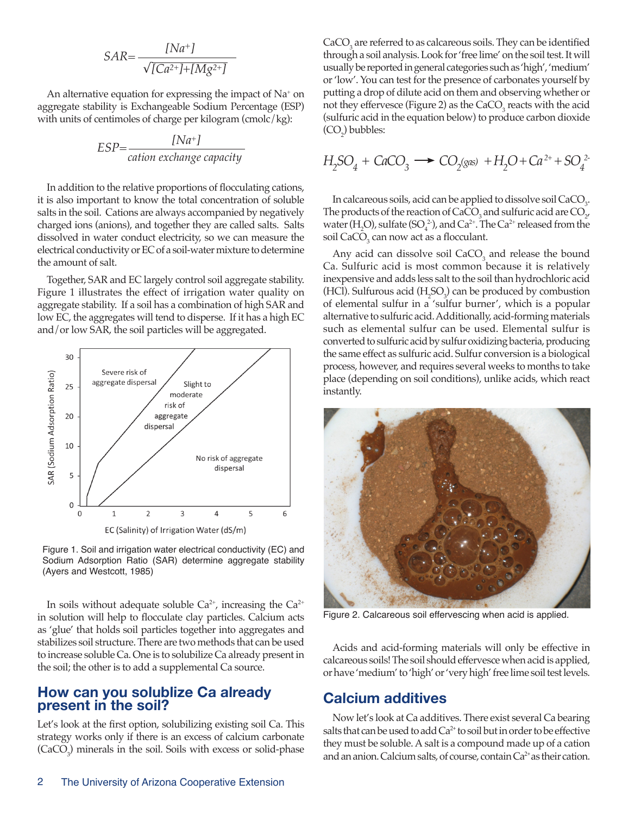$$
SAR = \frac{[Na^{+}]}{\sqrt{[Ca^{2+}]} + [Mg^{2+}]} =
$$

An alternative equation for expressing the impact of  $Na<sup>+</sup>$  on aggregate stability is Exchangeable Sodium Percentage (ESP) with units of centimoles of charge per kilogram (cmolc/kg):

$$
ESP = \frac{[Na^{+}]}{cation exchange capacity}
$$

In addition to the relative proportions of flocculating cations, it is also important to know the total concentration of soluble salts in the soil. Cations are always accompanied by negatively charged ions (anions), and together they are called salts. Salts dissolved in water conduct electricity, so we can measure the electrical conductivity or EC of a soil-water mixture to determine the amount of salt.

Together, SAR and EC largely control soil aggregate stability. Figure 1 illustrates the effect of irrigation water quality on aggregate stability. If a soil has a combination of high SAR and low EC, the aggregates will tend to disperse. If it has a high EC and/or low SAR, the soil particles will be aggregated.



Figure 1. Soil and irrigation water electrical conductivity (EC) and Sodium Adsorption Ratio (SAR) determine aggregate stability (Ayers and Westcott, 1985)

In soils without adequate soluble  $Ca^{2+}$ , increasing the  $Ca^{2+}$ in solution will help to flocculate clay particles. Calcium acts as 'glue' that holds soil particles together into aggregates and stabilizes soil structure. There are two methods that can be used to increase soluble Ca. One is to solubilize Ca already present in the soil; the other is to add a supplemental Ca source.

#### **How can you solublize Ca already present in the soil?**

Let's look at the first option, solubilizing existing soil Ca. This strategy works only if there is an excess of calcium carbonate  $(CaCO<sub>3</sub>)$  minerals in the soil. Soils with excess or solid-phase

 $CaCO<sub>3</sub>$  are referred to as calcareous soils. They can be identified through a soil analysis. Look for 'free lime' on the soil test. It will usually be reported in general categories such as 'high', 'medium' or 'low'. You can test for the presence of carbonates yourself by putting a drop of dilute acid on them and observing whether or not they effervesce (Figure 2) as the  $CaCO<sub>3</sub>$  reacts with the acid (sulfuric acid in the equation below) to produce carbon dioxide  $(CO_2)$  bubbles:

$$
H_2SO_4 + CaCO_3 \longrightarrow CO_2(gas) + H_2O + Ca^{2+} + SO_4^{2-}
$$

In calcareous soils, acid can be applied to dissolve soil  $CaCO<sub>3</sub>$ . The products of the reaction of CaCO<sub>3</sub> and sulfuric acid are  $CO_{2'}$ water (H<sub>2</sub>O), sulfate (SO<sub>4</sub><sup>2</sup>), and Ca<sup>2+</sup>. The Ca<sup>2+</sup> released from the soil  $\text{CaCO}_3^{\phantom 3}$  can now act as a flocculant.

Any acid can dissolve soil  $CaCO<sub>3</sub>$  and release the bound Ca. Sulfuric acid is most common because it is relatively inexpensive and adds less salt to the soil than hydrochloric acid (HCl). Sulfurous acid  $(H_2SO_3)$  can be produced by combustion of elemental sulfur in a 'sulfur burner', which is a popular alternative to sulfuric acid. Additionally, acid-forming materials such as elemental sulfur can be used. Elemental sulfur is converted to sulfuric acid by sulfur oxidizing bacteria, producing the same effect as sulfuric acid. Sulfur conversion is a biological process, however, and requires several weeks to months to take place (depending on soil conditions), unlike acids, which react instantly.



Figure 2. Calcareous soil effervescing when acid is applied.

Acids and acid-forming materials will only be effective in calcareous soils! The soil should effervesce when acid is applied, or have 'medium' to 'high' or 'very high' free lime soil test levels.

#### **Calcium additives**

Now let's look at Ca additives. There exist several Ca bearing salts that can be used to add  $Ca<sup>2+</sup>$  to soil but in order to be effective they must be soluble. A salt is a compound made up of a cation and an anion. Calcium salts, of course, contain Ca<sup>2+</sup> as their cation.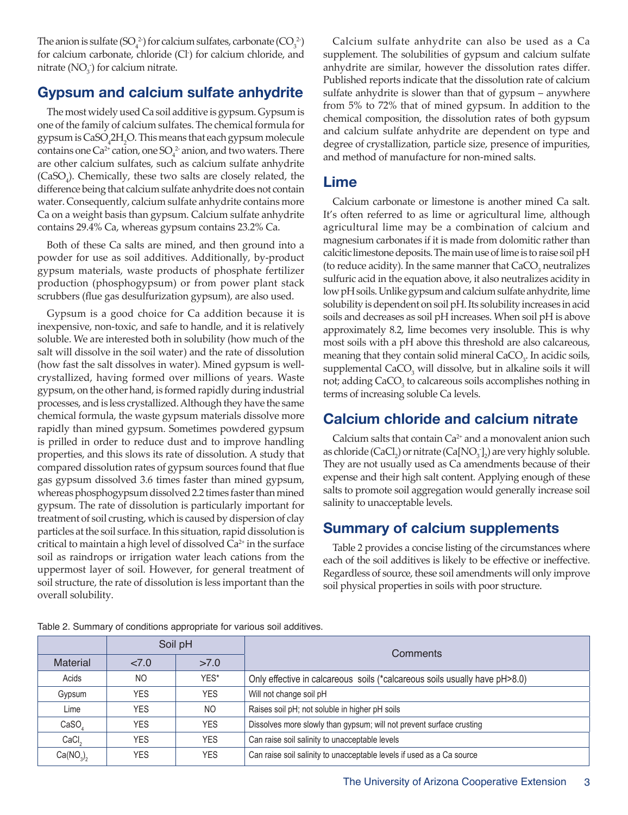The anion is sulfate  $(SO_4^2)$  for calcium sulfates, carbonate  $(CO_3^2)$ for calcium carbonate, chloride (Cl- ) for calcium chloride, and nitrate (NO $_3^{\cdot}$ ) for calcium nitrate.

## **Gypsum and calcium sulfate anhydrite**

The most widely used Ca soil additive is gypsum. Gypsum is one of the family of calcium sulfates. The chemical formula for gypsum is CaSO<sub>4</sub>2H<sub>2</sub>O. This means that each gypsum molecule contains one Ca<sup>2+</sup> cation, one  $SO_4^2$  anion, and two waters. There are other calcium sulfates, such as calcium sulfate anhydrite  $(CaSO<sub>4</sub>)$ . Chemically, these two salts are closely related, the difference being that calcium sulfate anhydrite does not contain water. Consequently, calcium sulfate anhydrite contains more Ca on a weight basis than gypsum. Calcium sulfate anhydrite contains 29.4% Ca, whereas gypsum contains 23.2% Ca.

Both of these Ca salts are mined, and then ground into a powder for use as soil additives. Additionally, by-product gypsum materials, waste products of phosphate fertilizer production (phosphogypsum) or from power plant stack scrubbers (flue gas desulfurization gypsum), are also used.

Gypsum is a good choice for Ca addition because it is inexpensive, non-toxic, and safe to handle, and it is relatively soluble. We are interested both in solubility (how much of the salt will dissolve in the soil water) and the rate of dissolution (how fast the salt dissolves in water). Mined gypsum is wellcrystallized, having formed over millions of years. Waste gypsum, on the other hand, is formed rapidly during industrial processes, and is less crystallized. Although they have the same chemical formula, the waste gypsum materials dissolve more rapidly than mined gypsum. Sometimes powdered gypsum is prilled in order to reduce dust and to improve handling properties, and this slows its rate of dissolution. A study that compared dissolution rates of gypsum sources found that flue gas gypsum dissolved 3.6 times faster than mined gypsum, whereas phosphogypsum dissolved 2.2 times faster than mined gypsum. The rate of dissolution is particularly important for treatment of soil crusting, which is caused by dispersion of clay particles at the soil surface. In this situation, rapid dissolution is critical to maintain a high level of dissolved  $Ca<sup>2+</sup>$  in the surface soil as raindrops or irrigation water leach cations from the uppermost layer of soil. However, for general treatment of soil structure, the rate of dissolution is less important than the overall solubility.

Calcium sulfate anhydrite can also be used as a Ca supplement. The solubilities of gypsum and calcium sulfate anhydrite are similar, however the dissolution rates differ. Published reports indicate that the dissolution rate of calcium sulfate anhydrite is slower than that of gypsum – anywhere from 5% to 72% that of mined gypsum. In addition to the chemical composition, the dissolution rates of both gypsum and calcium sulfate anhydrite are dependent on type and degree of crystallization, particle size, presence of impurities, and method of manufacture for non-mined salts.

#### **Lime**

Calcium carbonate or limestone is another mined Ca salt. It's often referred to as lime or agricultural lime, although agricultural lime may be a combination of calcium and magnesium carbonates if it is made from dolomitic rather than calcitic limestone deposits. The main use of lime is to raise soil pH (to reduce acidity). In the same manner that  $\text{CaCO}_{\text{3}}$  neutralizes sulfuric acid in the equation above, it also neutralizes acidity in low pH soils. Unlike gypsum and calcium sulfate anhydrite, lime solubility is dependent on soil pH. Its solubility increases in acid soils and decreases as soil pH increases. When soil pH is above approximately 8.2, lime becomes very insoluble. This is why most soils with a pH above this threshold are also calcareous, meaning that they contain solid mineral  $CaCO<sub>3</sub>$ . In acidic soils,  $supplemental$  CaCO<sub>3</sub> will dissolve, but in alkaline soils it will not; adding CaCO<sub>3</sub> to calcareous soils accomplishes nothing in terms of increasing soluble Ca levels.

## **Calcium chloride and calcium nitrate**

Calcium salts that contain  $Ca^{2+}$  and a monovalent anion such as chloride (CaCl<sub>2</sub>) or nitrate (Ca[NO<sub>3</sub>]<sub>2</sub>) are very highly soluble. They are not usually used as Ca amendments because of their expense and their high salt content. Applying enough of these salts to promote soil aggregation would generally increase soil salinity to unacceptable levels.

## **Summary of calcium supplements**

Table 2 provides a concise listing of the circumstances where each of the soil additives is likely to be effective or ineffective. Regardless of source, these soil amendments will only improve soil physical properties in soils with poor structure.

|                                   | Soil pH    |            | Comments                                                                     |  |
|-----------------------------------|------------|------------|------------------------------------------------------------------------------|--|
| <b>Material</b>                   | 27.0       | >7.0       |                                                                              |  |
| Acids                             | NO.        | YES*       | Only effective in calcareous soils (*calcareous soils usually have pH > 8.0) |  |
| Gypsum                            | <b>YES</b> | YES.       | Will not change soil pH                                                      |  |
| Lime                              | YES.       | NO.        | Raises soil pH; not soluble in higher pH soils                               |  |
| CaSO                              | YES.       | <b>YES</b> | Dissolves more slowly than gypsum; will not prevent surface crusting         |  |
| CaCl <sub>2</sub>                 | YES.       | <b>YES</b> | Can raise soil salinity to unacceptable levels                               |  |
| Ca(NO <sub>3</sub> ) <sub>2</sub> | YES.       | <b>YES</b> | Can raise soil salinity to unacceptable levels if used as a Ca source        |  |

Table 2. Summary of conditions appropriate for various soil additives.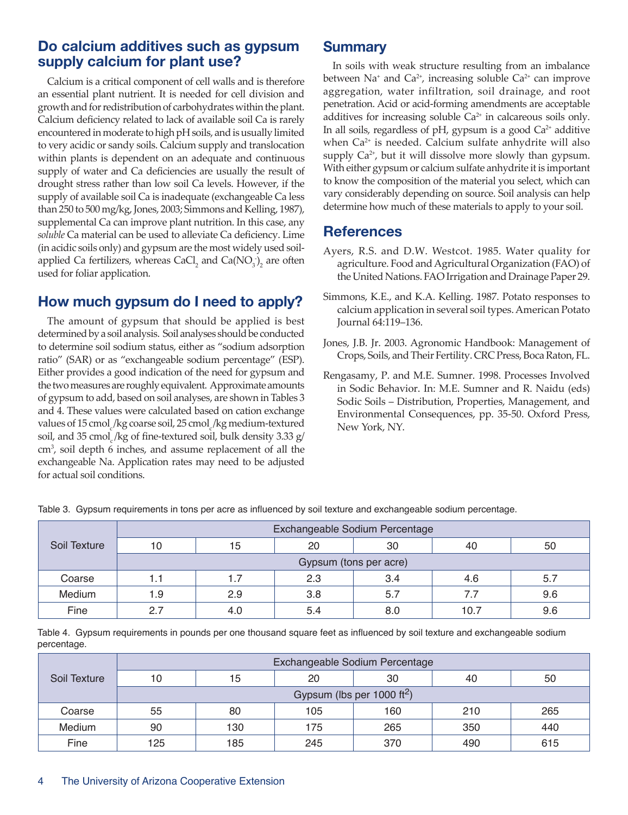#### **Do calcium additives such as gypsum supply calcium for plant use?**

Calcium is a critical component of cell walls and is therefore an essential plant nutrient. It is needed for cell division and growth and for redistribution of carbohydrates within the plant. Calcium deficiency related to lack of available soil Ca is rarely encountered in moderate to high pH soils, and is usually limited to very acidic or sandy soils. Calcium supply and translocation within plants is dependent on an adequate and continuous supply of water and Ca deficiencies are usually the result of drought stress rather than low soil Ca levels. However, if the supply of available soil Ca is inadequate (exchangeable Ca less than 250 to 500 mg/kg, Jones, 2003; Simmons and Kelling, 1987), supplemental Ca can improve plant nutrition. In this case, any *soluble* Ca material can be used to alleviate Ca deficiency. Lime (in acidic soils only) and gypsum are the most widely used soilapplied Ca fertilizers, whereas CaCl<sub>2</sub> and Ca( $NO<sub>3</sub>$ )<sub>2</sub> are often used for foliar application.

# **How much gypsum do I need to apply?**

The amount of gypsum that should be applied is best determined by a soil analysis. Soil analyses should be conducted to determine soil sodium status, either as "sodium adsorption ratio" (SAR) or as "exchangeable sodium percentage" (ESP). Either provides a good indication of the need for gypsum and the two measures are roughly equivalent. Approximate amounts of gypsum to add, based on soil analyses, are shown in Tables 3 and 4. These values were calculated based on cation exchange values of 15 cmol<sub>c</sub>/kg coarse soil, 25 cmol<sub>c</sub>/kg medium-textured soil, and 35 cmol /kg of fine-textured soil, bulk density 3.33  $g/$ cm<sup>3</sup> , soil depth 6 inches, and assume replacement of all the exchangeable Na. Application rates may need to be adjusted for actual soil conditions.

## **Summary**

In soils with weak structure resulting from an imbalance between Na<sup>+</sup> and Ca<sup>2+</sup>, increasing soluble Ca<sup>2+</sup> can improve aggregation, water infiltration, soil drainage, and root penetration. Acid or acid-forming amendments are acceptable additives for increasing soluble  $Ca<sup>2+</sup>$  in calcareous soils only. In all soils, regardless of pH, gypsum is a good  $Ca<sup>2+</sup>$  additive when  $Ca<sup>2+</sup>$  is needed. Calcium sulfate anhydrite will also supply  $Ca^{2+}$ , but it will dissolve more slowly than gypsum. With either gypsum or calcium sulfate anhydrite it is important to know the composition of the material you select, which can vary considerably depending on source. Soil analysis can help determine how much of these materials to apply to your soil.

## **References**

- Ayers, R.S. and D.W. Westcot. 1985. Water quality for agriculture. Food and Agricultural Organization (FAO) of the United Nations. FAO Irrigation and Drainage Paper 29.
- Simmons, K.E., and K.A. Kelling. 1987. Potato responses to calcium application in several soil types. American Potato Journal 64:119–136.
- Jones, J.B. Jr. 2003. Agronomic Handbook: Management of Crops, Soils, and Their Fertility. CRC Press, Boca Raton, FL.
- Rengasamy, P. and M.E. Sumner. 1998. Processes Involved in Sodic Behavior. In: M.E. Sumner and R. Naidu (eds) Sodic Soils – Distribution, Properties, Management, and Environmental Consequences, pp. 35-50. Oxford Press, New York, NY.

|              | Exchangeable Sodium Percentage |     |     |     |      |     |
|--------------|--------------------------------|-----|-----|-----|------|-----|
| Soil Texture | 10                             | 15  | 20  | 30  | 40   | 50  |
|              | Gypsum (tons per acre)         |     |     |     |      |     |
| Coarse       | 1.1                            | 1.7 | 2.3 | 3.4 | 4.6  | 5.7 |
| Medium       | 1.9                            | 2.9 | 3.8 | 5.7 | 7.7  | 9.6 |
| Fine         | 27                             | 4.0 | 5.4 | 8.0 | 10.7 | 9.6 |

Table 3. Gypsum requirements in tons per acre as influenced by soil texture and exchangeable sodium percentage.

Table 4. Gypsum requirements in pounds per one thousand square feet as influenced by soil texture and exchangeable sodium percentage.

| Soil Texture | Exchangeable Sodium Percentage         |     |     |     |     |     |
|--------------|----------------------------------------|-----|-----|-----|-----|-----|
|              | 10                                     | 15  | 20  | 30  | 40  | 50  |
|              | Gypsum (lbs per 1000 ft <sup>2</sup> ) |     |     |     |     |     |
| Coarse       | 55                                     | 80  | 105 | 160 | 210 | 265 |
| Medium       | 90                                     | 130 | 175 | 265 | 350 | 440 |
| Fine         | 125                                    | 185 | 245 | 370 | 490 | 615 |